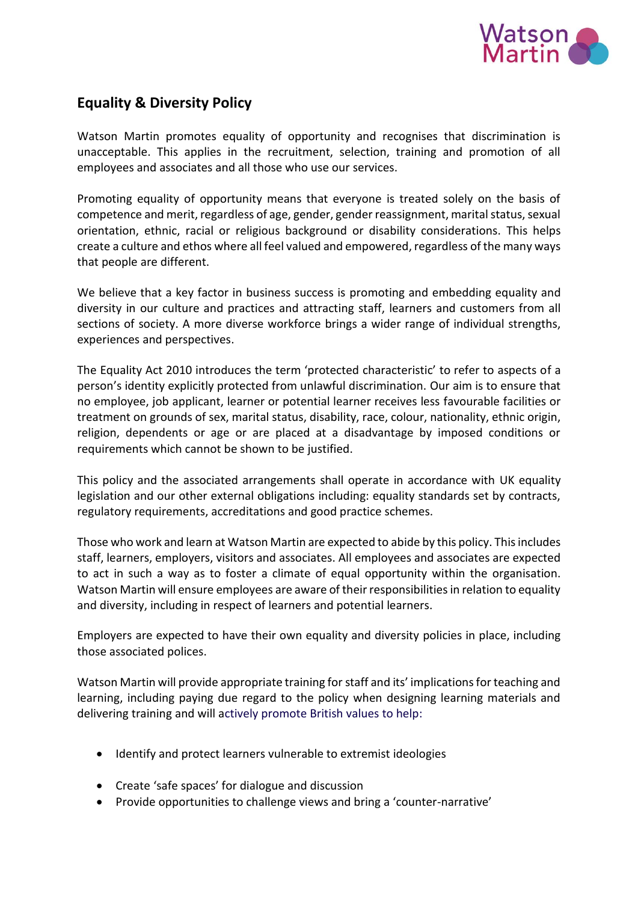

# **Equality & Diversity Policy**

Watson Martin promotes equality of opportunity and recognises that discrimination is unacceptable. This applies in the recruitment, selection, training and promotion of all employees and associates and all those who use our services.

Promoting equality of opportunity means that everyone is treated solely on the basis of competence and merit, regardless of age, gender, gender reassignment, marital status, sexual orientation, ethnic, racial or religious background or disability considerations. This helps create a culture and ethos where all feel valued and empowered, regardless of the many ways that people are different.

We believe that a key factor in business success is promoting and embedding equality and diversity in our culture and practices and attracting staff, learners and customers from all sections of society. A more diverse workforce brings a wider range of individual strengths, experiences and perspectives.

The Equality Act 2010 introduces the term 'protected characteristic' to refer to aspects of a person's identity explicitly protected from unlawful discrimination. Our aim is to ensure that no employee, job applicant, learner or potential learner receives less favourable facilities or treatment on grounds of sex, marital status, disability, race, colour, nationality, ethnic origin, religion, dependents or age or are placed at a disadvantage by imposed conditions or requirements which cannot be shown to be justified.

This policy and the associated arrangements shall operate in accordance with UK equality legislation and our other external obligations including: equality standards set by contracts, regulatory requirements, accreditations and good practice schemes.

Those who work and learn at Watson Martin are expected to abide by this policy. This includes staff, learners, employers, visitors and associates. All employees and associates are expected to act in such a way as to foster a climate of equal opportunity within the organisation. Watson Martin will ensure employees are aware of their responsibilities in relation to equality and diversity, including in respect of learners and potential learners.

Employers are expected to have their own equality and diversity policies in place, including those associated polices.

Watson Martin will provide appropriate training for staff and its' implications for teaching and learning, including paying due regard to the policy when designing learning materials and delivering training and will actively promote British values to help:

- Identify and protect learners vulnerable to extremist ideologies
- Create 'safe spaces' for dialogue and discussion
- Provide opportunities to challenge views and bring a 'counter-narrative'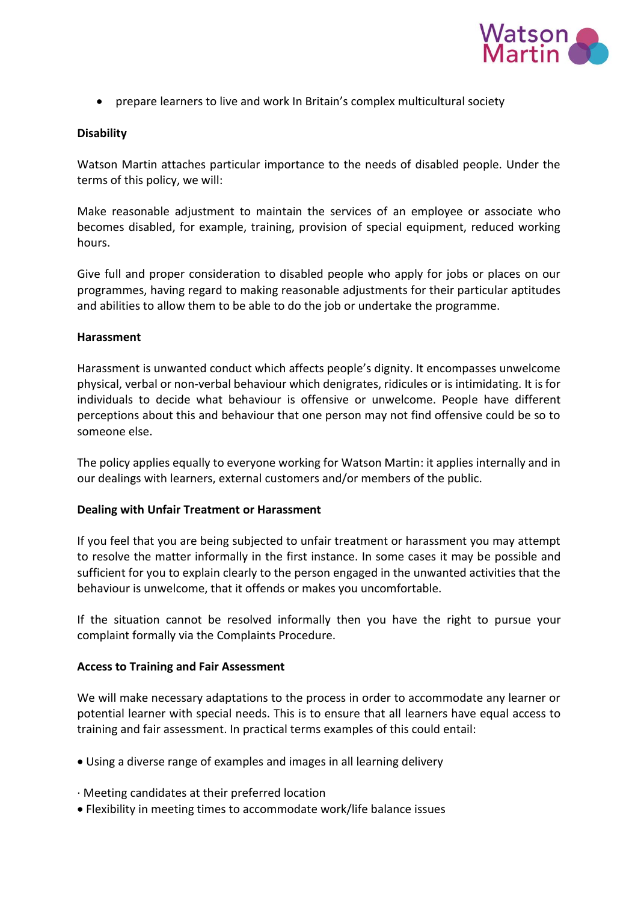

• prepare learners to live and work In Britain's complex multicultural society

## **Disability**

Watson Martin attaches particular importance to the needs of disabled people. Under the terms of this policy, we will:

Make reasonable adjustment to maintain the services of an employee or associate who becomes disabled, for example, training, provision of special equipment, reduced working hours.

Give full and proper consideration to disabled people who apply for jobs or places on our programmes, having regard to making reasonable adjustments for their particular aptitudes and abilities to allow them to be able to do the job or undertake the programme.

#### **Harassment**

Harassment is unwanted conduct which affects people's dignity. It encompasses unwelcome physical, verbal or non-verbal behaviour which denigrates, ridicules or is intimidating. It is for individuals to decide what behaviour is offensive or unwelcome. People have different perceptions about this and behaviour that one person may not find offensive could be so to someone else.

The policy applies equally to everyone working for Watson Martin: it applies internally and in our dealings with learners, external customers and/or members of the public.

#### **Dealing with Unfair Treatment or Harassment**

If you feel that you are being subjected to unfair treatment or harassment you may attempt to resolve the matter informally in the first instance. In some cases it may be possible and sufficient for you to explain clearly to the person engaged in the unwanted activities that the behaviour is unwelcome, that it offends or makes you uncomfortable.

If the situation cannot be resolved informally then you have the right to pursue your complaint formally via the Complaints Procedure.

#### **Access to Training and Fair Assessment**

We will make necessary adaptations to the process in order to accommodate any learner or potential learner with special needs. This is to ensure that all learners have equal access to training and fair assessment. In practical terms examples of this could entail:

- Using a diverse range of examples and images in all learning delivery
- · Meeting candidates at their preferred location
- Flexibility in meeting times to accommodate work/life balance issues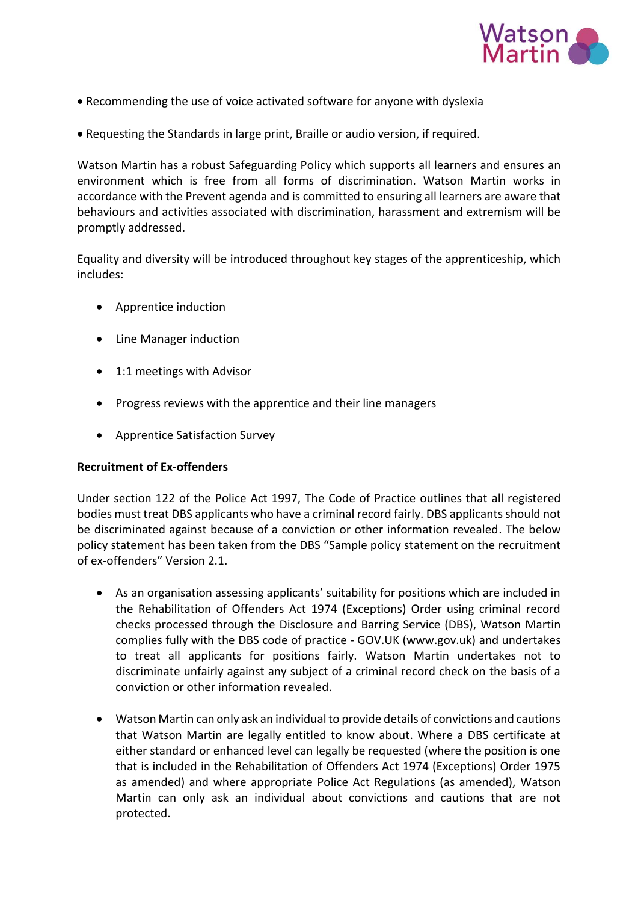

- Recommending the use of voice activated software for anyone with dyslexia
- Requesting the Standards in large print, Braille or audio version, if required.

Watson Martin has a robust Safeguarding Policy which supports all learners and ensures an environment which is free from all forms of discrimination. Watson Martin works in accordance with the Prevent agenda and is committed to ensuring all learners are aware that behaviours and activities associated with discrimination, harassment and extremism will be promptly addressed.

Equality and diversity will be introduced throughout key stages of the apprenticeship, which includes:

- Apprentice induction
- Line Manager induction
- 1:1 meetings with Advisor
- Progress reviews with the apprentice and their line managers
- Apprentice Satisfaction Survey

## **Recruitment of Ex-offenders**

Under section 122 of the Police Act 1997, The Code of Practice outlines that all registered bodies must treat DBS applicants who have a criminal record fairly. DBS applicants should not be discriminated against because of a conviction or other information revealed. The below policy statement has been taken from the DBS "Sample policy statement on the recruitment of ex-offenders" Version 2.1.

- As an organisation assessing applicants' suitability for positions which are included in the Rehabilitation of Offenders Act 1974 (Exceptions) Order using criminal record checks processed through the Disclosure and Barring Service (DBS), Watson Martin complies fully with the DBS code of practice - [GOV.UK \(www.gov.uk\)](https://www.gov.uk/government/publications/dbs-code-of-practice) and undertakes to treat all applicants for positions fairly. Watson Martin undertakes not to discriminate unfairly against any subject of a criminal record check on the basis of a conviction or other information revealed.
- Watson Martin can only ask an individual to provide details of convictions and cautions that Watson Martin are legally entitled to know about. Where a DBS certificate at either standard or enhanced level can legally be requested (where the position is one that is included in the Rehabilitation of Offenders Act 1974 (Exceptions) Order 1975 as amended) and where appropriate Police Act Regulations (as amended), Watson Martin can only ask an individual about convictions and cautions that are not protected.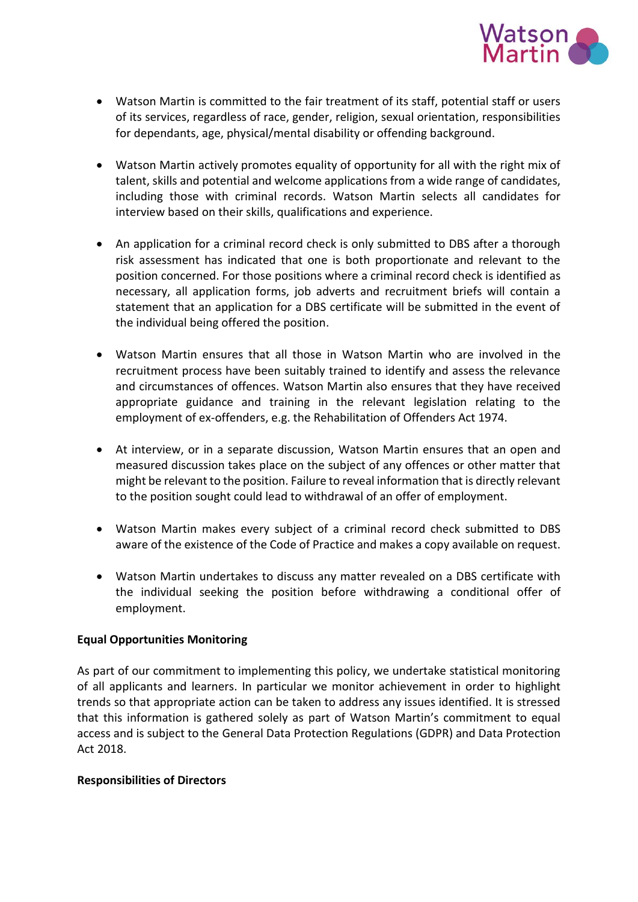

- Watson Martin is committed to the fair treatment of its staff, potential staff or users of its services, regardless of race, gender, religion, sexual orientation, responsibilities for dependants, age, physical/mental disability or offending background.
- Watson Martin actively promotes equality of opportunity for all with the right mix of talent, skills and potential and welcome applications from a wide range of candidates, including those with criminal records. Watson Martin selects all candidates for interview based on their skills, qualifications and experience.
- An application for a criminal record check is only submitted to DBS after a thorough risk assessment has indicated that one is both proportionate and relevant to the position concerned. For those positions where a criminal record check is identified as necessary, all application forms, job adverts and recruitment briefs will contain a statement that an application for a DBS certificate will be submitted in the event of the individual being offered the position.
- Watson Martin ensures that all those in Watson Martin who are involved in the recruitment process have been suitably trained to identify and assess the relevance and circumstances of offences. Watson Martin also ensures that they have received appropriate guidance and training in the relevant legislation relating to the employment of ex-offenders, e.g. the Rehabilitation of Offenders Act 1974.
- At interview, or in a separate discussion, Watson Martin ensures that an open and measured discussion takes place on the subject of any offences or other matter that might be relevant to the position. Failure to reveal information that is directly relevant to the position sought could lead to withdrawal of an offer of employment.
- Watson Martin makes every subject of a criminal record check submitted to DBS aware of the existence of the Code of Practice and makes a copy available on request.
- Watson Martin undertakes to discuss any matter revealed on a DBS certificate with the individual seeking the position before withdrawing a conditional offer of employment.

## **Equal Opportunities Monitoring**

As part of our commitment to implementing this policy, we undertake statistical monitoring of all applicants and learners. In particular we monitor achievement in order to highlight trends so that appropriate action can be taken to address any issues identified. It is stressed that this information is gathered solely as part of Watson Martin's commitment to equal access and is subject to the General Data Protection Regulations (GDPR) and Data Protection Act 2018.

## **Responsibilities of Directors**